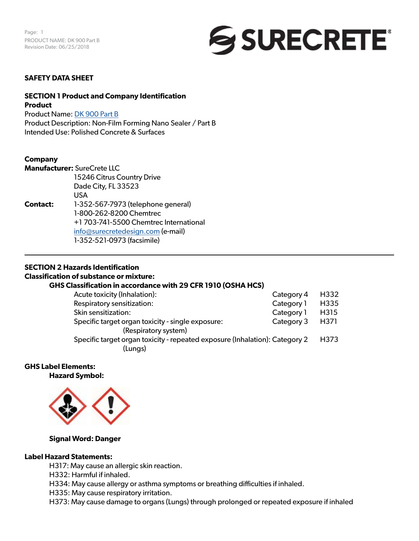

#### **SAFETY DATA SHEET**

#### **SECTION 1 Product and Company Identification Product**

Product Name: DK 90[0 Part B](https://www.surecretedesign.com) Product Description: Non-Film Forming Nano Sealer / Part B

Intended Use: Polished Concrete & Surfaces

## **Company**

**Manufacturer:** SureCrete LLC 15246 Citrus Country Drive Dade City, FL 33523 USA **Contact:** 1-352-567-7973 (telephone general) 1-800-262-8200 Chemtrec +1 703-741-5500 Chemtrec International [info@surecretedesign.com](mailto:info%40surecretedesign.com?subject=DK%20900-%20SDS%20Inquiry) (e-mail) 1-352-521-0973 (facsimile)

# **SECTION 2 Hazards Identification**

## **Classification of substance or mixture:**

# **GHS Classification in accordance with 29 CFR 1910 (OSHA HCS)**

| Acute toxicity (Inhalation):                                                | Category 4 | H332             |
|-----------------------------------------------------------------------------|------------|------------------|
| Respiratory sensitization:                                                  | Category 1 | H <sub>335</sub> |
| Skin sensitization:                                                         | Category 1 | H315             |
| Specific target organ toxicity - single exposure:                           | Category 3 | H371             |
| (Respiratory system)                                                        |            |                  |
| Specific target organ toxicity - repeated exposure (Inhalation): Category 2 |            | H373             |
| (Lungs)                                                                     |            |                  |

# **GHS Label Elements:**

**Hazard Symbol:** 



#### **Signal Word: Danger**

#### **Label Hazard Statements:**

H317: May cause an allergic skin reaction.

H332: Harmful if inhaled.

H334: May cause allergy or asthma symptoms or breathing difficulties if inhaled.

H335: May cause respiratory irritation.

H373: May cause damage to organs (Lungs) through prolonged or repeated exposure if inhaled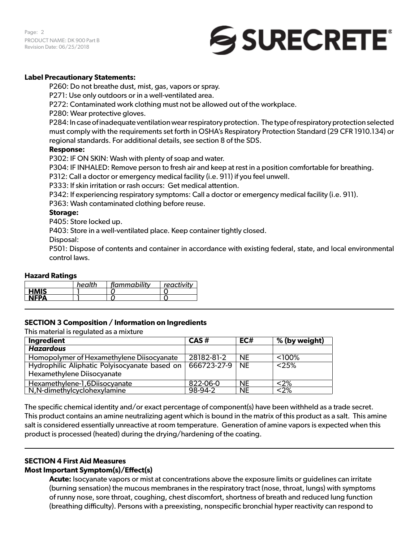Page: 2 PRODUCT NAME: DK 900 Part B Revision Date: 06/25/2018

# SURECRETE®

# **Label Precautionary Statements:**

P260: Do not breathe dust, mist, gas, vapors or spray.

- P271: Use only outdoors or in a well-ventilated area.
- P272: Contaminated work clothing must not be allowed out of the workplace.
- P280: Wear protective gloves.

P284: In case of inadequate ventilation wear respiratory protection. The type of respiratory protection selected must comply with the requirements set forth in OSHA's Respiratory Protection Standard (29 CFR 1910.134) or regional standards. For additional details, see section 8 of the SDS.

#### **Response:**

P302: IF ON SKIN: Wash with plenty of soap and water.

P304: IF INHALED: Remove person to fresh air and keep at rest in a position comfortable for breathing.

P312: Call a doctor or emergency medical facility (i.e. 911) if you feel unwell.

P333: If skin irritation or rash occurs: Get medical attention.

P342: If experiencing respiratory symptoms: Call a doctor or emergency medical facility (i.e. 911).

P363: Wash contaminated clothing before reuse.

# **Storage:**

P405: Store locked up.

P403: Store in a well-ventilated place. Keep container tightly closed.

Disposal:

P501: Dispose of contents and container in accordance with existing federal, state, and local environmental control laws.

#### **Hazard Ratings**

|             | health | flammability | reactivity |
|-------------|--------|--------------|------------|
| <b>HMIS</b> |        |              |            |
| <b>NEPA</b> |        |              |            |

# **SECTION 3 Composition / Information on Ingredients**

This material is regulated as a mixture

| Ingredient                                    | $CAS \#$                    | EC#       | % (by weight) |
|-----------------------------------------------|-----------------------------|-----------|---------------|
| <b>Hazardous</b>                              |                             |           |               |
| Homopolymer of Hexamethylene Diisocyanate     | $\overline{28182} - 81 - 2$ | <b>NE</b> | $< 100\%$     |
| Hydrophilic Aliphatic Polyisocyanate based on | $666723 - 27 - 9$           | <b>NF</b> | < 25%         |
| Hexamethylene Diisocyanate                    |                             |           |               |
| Hexamethylene-1,6Diisocyanate                 | 822-06-0                    | <b>NE</b> | $<$ 2%        |
| N,N-dimethylcyclohexylamine                   | 98-94-2                     | <b>NE</b> | $<$ 2%        |

The specific chemical identity and/or exact percentage of component(s) have been withheld as a trade secret. This product contains an amine neutralizing agent which is bound in the matrix of this product as a salt. This amine salt is considered essentially unreactive at room temperature. Generation of amine vapors is expected when this product is processed (heated) during the drying/hardening of the coating.

#### **SECTION 4 First Aid Measures Most Important Symptom(s)/Effect(s)**

**Acute:** Isocyanate vapors or mist at concentrations above the exposure limits or guidelines can irritate (burning sensation) the mucous membranes in the respiratory tract (nose, throat, lungs) with symptoms of runny nose, sore throat, coughing, chest discomfort, shortness of breath and reduced lung function (breathing difficulty). Persons with a preexisting, nonspecific bronchial hyper reactivity can respond to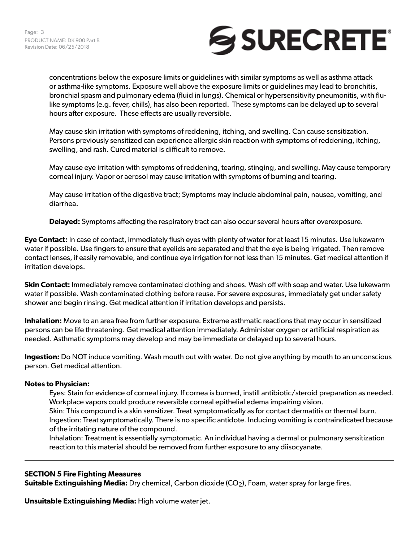

concentrations below the exposure limits or guidelines with similar symptoms as well as asthma attack or asthma-like symptoms. Exposure well above the exposure limits or guidelines may lead to bronchitis, bronchial spasm and pulmonary edema (fluid in lungs). Chemical or hypersensitivity pneumonitis, with flulike symptoms (e.g. fever, chills), has also been reported. These symptoms can be delayed up to several hours after exposure. These effects are usually reversible.

May cause skin irritation with symptoms of reddening, itching, and swelling. Can cause sensitization. Persons previously sensitized can experience allergic skin reaction with symptoms of reddening, itching, swelling, and rash. Cured material is difficult to remove.

May cause eye irritation with symptoms of reddening, tearing, stinging, and swelling. May cause temporary corneal injury. Vapor or aerosol may cause irritation with symptoms of burning and tearing.

May cause irritation of the digestive tract; Symptoms may include abdominal pain, nausea, vomiting, and diarrhea.

**Delayed:** Symptoms affecting the respiratory tract can also occur several hours after overexposure.

**Eye Contact:** In case of contact, immediately flush eyes with plenty of water for at least 15 minutes. Use lukewarm water if possible. Use fingers to ensure that eyelids are separated and that the eye is being irrigated. Then remove contact lenses, if easily removable, and continue eye irrigation for not less than 15 minutes. Get medical attention if irritation develops.

**Skin Contact:** Immediately remove contaminated clothing and shoes. Wash off with soap and water. Use lukewarm water if possible. Wash contaminated clothing before reuse. For severe exposures, immediately get under safety shower and begin rinsing. Get medical attention if irritation develops and persists.

**Inhalation:** Move to an area free from further exposure. Extreme asthmatic reactions that may occur in sensitized persons can be life threatening. Get medical attention immediately. Administer oxygen or artificial respiration as needed. Asthmatic symptoms may develop and may be immediate or delayed up to several hours.

**Ingestion:** Do NOT induce vomiting. Wash mouth out with water. Do not give anything by mouth to an unconscious person. Get medical attention.

# **Notes to Physician:**

Eyes: Stain for evidence of corneal injury. If cornea is burned, instill antibiotic/steroid preparation as needed. Workplace vapors could produce reversible corneal epithelial edema impairing vision. Skin: This compound is a skin sensitizer. Treat symptomatically as for contact dermatitis or thermal burn. Ingestion: Treat symptomatically. There is no specific antidote. Inducing vomiting is contraindicated because of the irritating nature of the compound.

Inhalation: Treatment is essentially symptomatic. An individual having a dermal or pulmonary sensitization reaction to this material should be removed from further exposure to any diisocyanate.

# **SECTION 5 Fire Fighting Measures**

**Suitable Extinguishing Media:** Dry chemical, Carbon dioxide (CO<sub>2</sub>), Foam, water spray for large fires.

**Unsuitable Extinguishing Media:** High volume water jet.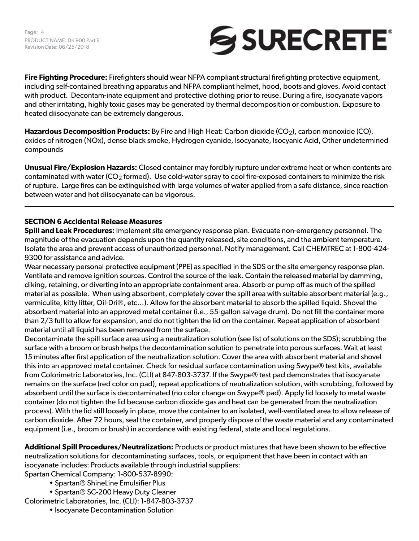Page: 4 PRODUCT NAME: DK 900 Part B Revision Date: 06/25/2018



**Fire Fighting Procedure:** Firefighters should wear NFPA compliant structural firefighting protective equipment, including self-contained breathing apparatus and NFPA compliant helmet, hood, boots and gloves. Avoid contact with product. Decontam-inate equipment and protective clothing prior to reuse. During a fire, isocyanate vapors and other irritating, highly toxic gases may be generated by thermal decomposition or combustion. Exposure to heated diisocyanate can be extremely dangerous.

**Hazardous Decomposition Products:** By Fire and High Heat: Carbon dioxide (CO<sub>2</sub>), carbon monoxide (CO), oxides of nitrogen (NOx), dense black smoke, Hydrogen cyanide, Isocyanate, Isocyanic Acid, Other undetermined compounds

**Unusual Fire/Explosion Hazards:** Closed container may forcibly rupture under extreme heat or when contents are contaminated with water ( $CO<sub>2</sub>$  formed). Use cold-water spray to cool fire-exposed containers to minimize the risk of rupture. Large fires can be extinguished with large volumes of water applied from a safe distance, since reaction between water and hot diisocyanate can be vigorous.

# **SECTION 6 Accidental Release Measures**

**Spill and Leak Procedures:** Implement site emergency response plan. Evacuate non-emergency personnel. The magnitude of the evacuation depends upon the quantity released, site conditions, and the ambient temperature. Isolate the area and prevent access of unauthorized personnel. Notify management. Call CHEMTREC at 1-800-424- 9300 for assistance and advice.

Wear necessary personal protective equipment (PPE) as specified in the SDS or the site emergency response plan. Ventilate and remove ignition sources. Control the source of the leak. Contain the released material by damming, diking, retaining, or diverting into an appropriate containment area. Absorb or pump off as much of the spilled material as possible. When using absorbent, completely cover the spill area with suitable absorbent material (e.g., vermiculite, kitty litter, Oil-Dri®, etc…). Allow for the absorbent material to absorb the spilled liquid. Shovel the absorbent material into an approved metal container (i.e., 55-gallon salvage drum). Do not fill the container more than 2/3 full to allow for expansion, and do not tighten the lid on the container. Repeat application of absorbent material until all liquid has been removed from the surface.

Decontaminate the spill surface area using a neutralization solution (see list of solutions on the SDS); scrubbing the surface with a broom or brush helps the decontamination solution to penetrate into porous surfaces. Wait at least 15 minutes after first application of the neutralization solution. Cover the area with absorbent material and shovel this into an approved metal container. Check for residual surface contamination using Swype® test kits, available from Colorimetric Laboratories, Inc. (CLI) at 847-803-3737. If the Swype® test pad demonstrates that isocyanate remains on the surface (red color on pad), repeat applications of neutralization solution, with scrubbing, followed by absorbent until the surface is decontaminated (no color change on Swype® pad). Apply lid loosely to metal waste container (do not tighten the lid because carbon dioxide gas and heat can be generated from the neutralization process). With the lid still loosely in place, move the container to an isolated, well-ventilated area to allow release of carbon dioxide. After 72 hours, seal the container, and properly dispose of the waste material and any contaminated equipment (i.e., broom or brush) in accordance with existing federal, state and local regulations.

**Additional Spill Procedures/Neutralization:** Products or product mixtures that have been shown to be effective neutralization solutions for decontaminating surfaces, tools, or equipment that have been in contact with an isocyanate includes: Products available through industrial suppliers:

Spartan Chemical Company: 1-800-537-8990:

- Spartan® ShineLine Emulsifier Plus
- Spartan® SC-200 Heavy Duty Cleaner

Colorimetric Laboratories, Inc. (CLI): 1-847-803-3737

• Isocyanate Decontamination Solution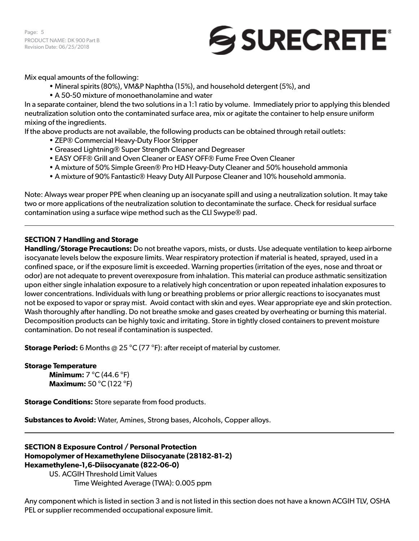Page: 5 PRODUCT NAME: DK 900 Part B Revision Date: 06/25/2018



Mix equal amounts of the following:

- Mineral spirits (80%), VM&P Naphtha (15%), and household detergent (5%), and
- A 50-50 mixture of monoethanolamine and water

In a separate container, blend the two solutions in a 1:1 ratio by volume. Immediately prior to applying this blended neutralization solution onto the contaminated surface area, mix or agitate the container to help ensure uniform mixing of the ingredients.

If the above products are not available, the following products can be obtained through retail outlets:

- ZEP® Commercial Heavy-Duty Floor Stripper
- Greased Lightning® Super Strength Cleaner and Degreaser
- EASY OFF® Grill and Oven Cleaner or EASY OFF® Fume Free Oven Cleaner
- A mixture of 50% Simple Green® Pro HD Heavy-Duty Cleaner and 50% household ammonia
- A mixture of 90% Fantastic® Heavy Duty All Purpose Cleaner and 10% household ammonia.

Note: Always wear proper PPE when cleaning up an isocyanate spill and using a neutralization solution. It may take two or more applications of the neutralization solution to decontaminate the surface. Check for residual surface contamination using a surface wipe method such as the CLI Swype® pad.

#### **SECTION 7 Handling and Storage**

**Handling/Storage Precautions:** Do not breathe vapors, mists, or dusts. Use adequate ventilation to keep airborne isocyanate levels below the exposure limits. Wear respiratory protection if material is heated, sprayed, used in a confined space, or if the exposure limit is exceeded. Warning properties (irritation of the eyes, nose and throat or odor) are not adequate to prevent overexposure from inhalation. This material can produce asthmatic sensitization upon either single inhalation exposure to a relatively high concentration or upon repeated inhalation exposures to lower concentrations. Individuals with lung or breathing problems or prior allergic reactions to isocyanates must not be exposed to vapor or spray mist. Avoid contact with skin and eyes. Wear appropriate eye and skin protection. Wash thoroughly after handling. Do not breathe smoke and gases created by overheating or burning this material. Decomposition products can be highly toxic and irritating. Store in tightly closed containers to prevent moisture contamination. Do not reseal if contamination is suspected.

**Storage Period:** 6 Months @ 25 °C (77 °F): after receipt of material by customer.

#### **Storage Temperature**

**Minimum:** 7 °C (44.6 °F) **Maximum:** 50 °C (122 °F)

**Storage Conditions:** Store separate from food products.

**Substances to Avoid:** Water, Amines, Strong bases, Alcohols, Copper alloys.

# **SECTION 8 Exposure Control / Personal Protection Homopolymer of Hexamethylene Diisocyanate (28182-81-2) Hexamethylene-1,6-Diisocyanate (822-06-0)**

US. ACGIH Threshold Limit Values Time Weighted Average (TWA): 0.005 ppm

Any component which is listed in section 3 and is not listed in this section does not have a known ACGIH TLV, OSHA PEL or supplier recommended occupational exposure limit.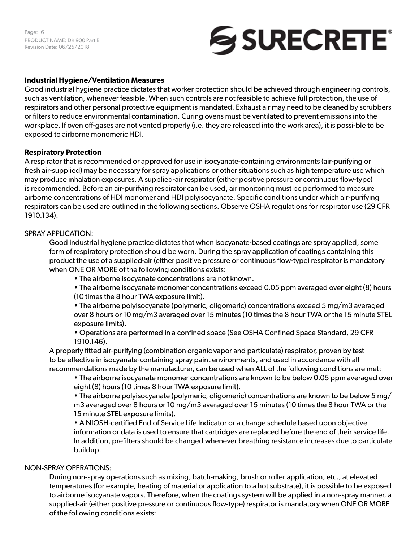Page: 6 PRODUCT NAME: DK 900 Part B Revision Date: 06/25/2018

# SURECRETE®

## **Industrial Hygiene/Ventilation Measures**

Good industrial hygiene practice dictates that worker protection should be achieved through engineering controls, such as ventilation, whenever feasible. When such controls are not feasible to achieve full protection, the use of respirators and other personal protective equipment is mandated. Exhaust air may need to be cleaned by scrubbers or filters to reduce environmental contamination. Curing ovens must be ventilated to prevent emissions into the workplace. If oven off-gases are not vented properly (i.e. they are released into the work area), it is possi-ble to be exposed to airborne monomeric HDI.

#### **Respiratory Protection**

A respirator that is recommended or approved for use in isocyanate-containing environments (air-purifying or fresh air-supplied) may be necessary for spray applications or other situations such as high temperature use which may produce inhalation exposures. A supplied-air respirator (either positive pressure or continuous flow-type) is recommended. Before an air-purifying respirator can be used, air monitoring must be performed to measure airborne concentrations of HDI monomer and HDI polyisocyanate. Specific conditions under which air-purifying respirators can be used are outlined in the following sections. Observe OSHA regulations for respirator use (29 CFR 1910.134).

#### SPRAY APPLICATION:

Good industrial hygiene practice dictates that when isocyanate-based coatings are spray applied, some form of respiratory protection should be worn. During the spray application of coatings containing this product the use of a supplied-air (either positive pressure or continuous flow-type) respirator is mandatory when ONE OR MORE of the following conditions exists:

• The airborne isocyanate concentrations are not known.

• The airborne isocyanate monomer concentrations exceed 0.05 ppm averaged over eight (8) hours (10 times the 8 hour TWA exposure limit).

• The airborne polyisocyanate (polymeric, oligomeric) concentrations exceed 5 mg/m3 averaged over 8 hours or 10 mg/m3 averaged over 15 minutes (10 times the 8 hour TWA or the 15 minute STEL exposure limits).

• Operations are performed in a confined space (See OSHA Confined Space Standard, 29 CFR 1910.146).

A properly fitted air-purifying (combination organic vapor and particulate) respirator, proven by test to be effective in isocyanate-containing spray paint environments, and used in accordance with all recommendations made by the manufacturer, can be used when ALL of the following conditions are met:

• The airborne isocyanate monomer concentrations are known to be below 0.05 ppm averaged over eight (8) hours (10 times 8 hour TWA exposure limit).

• The airborne polyisocyanate (polymeric, oligomeric) concentrations are known to be below 5 mg/ m3 averaged over 8 hours or 10 mg/m3 averaged over 15 minutes (10 times the 8 hour TWA or the 15 minute STEL exposure limits).

• A NIOSH-certified End of Service Life Indicator or a change schedule based upon objective information or data is used to ensure that cartridges are replaced before the end of their service life. In addition, prefilters should be changed whenever breathing resistance increases due to particulate buildup.

# NON-SPRAY OPERATIONS:

During non-spray operations such as mixing, batch-making, brush or roller application, etc., at elevated temperatures (for example, heating of material or application to a hot substrate), it is possible to be exposed to airborne isocyanate vapors. Therefore, when the coatings system will be applied in a non-spray manner, a supplied-air (either positive pressure or continuous flow-type) respirator is mandatory when ONE OR MORE of the following conditions exists: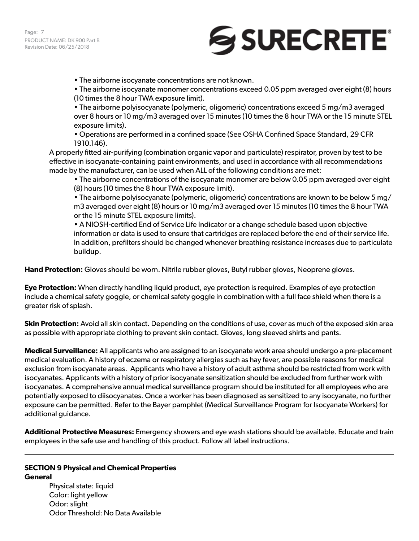# SSURECRETE®

• The airborne isocyanate concentrations are not known.

• The airborne isocyanate monomer concentrations exceed 0.05 ppm averaged over eight (8) hours (10 times the 8 hour TWA exposure limit).

• The airborne polyisocyanate (polymeric, oligomeric) concentrations exceed 5 mg/m3 averaged over 8 hours or 10 mg/m3 averaged over 15 minutes (10 times the 8 hour TWA or the 15 minute STEL exposure limits).

• Operations are performed in a confined space (See OSHA Confined Space Standard, 29 CFR 1910.146).

A properly fitted air-purifying (combination organic vapor and particulate) respirator, proven by test to be effective in isocyanate-containing paint environments, and used in accordance with all recommendations made by the manufacturer, can be used when ALL of the following conditions are met:

• The airborne concentrations of the isocyanate monomer are below 0.05 ppm averaged over eight (8) hours (10 times the 8 hour TWA exposure limit).

• The airborne polyisocyanate (polymeric, oligomeric) concentrations are known to be below 5 mg/ m3 averaged over eight (8) hours or 10 mg/m3 averaged over 15 minutes (10 times the 8 hour TWA or the 15 minute STEL exposure limits).

• A NIOSH-certified End of Service Life Indicator or a change schedule based upon objective information or data is used to ensure that cartridges are replaced before the end of their service life. In addition, prefilters should be changed whenever breathing resistance increases due to particulate buildup.

**Hand Protection:** Gloves should be worn. Nitrile rubber gloves, Butyl rubber gloves, Neoprene gloves.

**Eye Protection:** When directly handling liquid product, eye protection is required. Examples of eye protection include a chemical safety goggle, or chemical safety goggle in combination with a full face shield when there is a greater risk of splash.

**Skin Protection:** Avoid all skin contact. Depending on the conditions of use, cover as much of the exposed skin area as possible with appropriate clothing to prevent skin contact. Gloves, long sleeved shirts and pants.

**Medical Surveillance:** All applicants who are assigned to an isocyanate work area should undergo a pre-placement medical evaluation. A history of eczema or respiratory allergies such as hay fever, are possible reasons for medical exclusion from isocyanate areas. Applicants who have a history of adult asthma should be restricted from work with isocyanates. Applicants with a history of prior isocyanate sensitization should be excluded from further work with isocyanates. A comprehensive annual medical surveillance program should be instituted for all employees who are potentially exposed to diisocyanates. Once a worker has been diagnosed as sensitized to any isocyanate, no further exposure can be permitted. Refer to the Bayer pamphlet (Medical Surveillance Program for Isocyanate Workers) for additional guidance.

**Additional Protective Measures:** Emergency showers and eye wash stations should be available. Educate and train employees in the safe use and handling of this product. Follow all label instructions.

# **SECTION 9 Physical and Chemical Properties General**

Physical state: liquid Color: light yellow Odor: slight Odor Threshold: No Data Available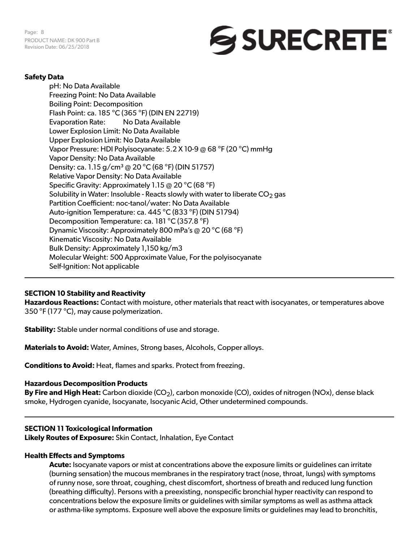

# **Safety Data**

pH: No Data Available Freezing Point: No Data Available Boiling Point: Decomposition Flash Point: ca. 185 °C (365 °F) (DIN EN 22719) Evaporation Rate: No Data Available Lower Explosion Limit: No Data Available Upper Explosion Limit: No Data Available Vapor Pressure: HDI Polyisocyanate: 5.2 X 10-9 @ 68 °F (20 °C) mmHg Vapor Density: No Data Available Density: ca. 1.15 g/cm<sup>3</sup> @ 20 °C (68 °F) (DIN 51757) Relative Vapor Density: No Data Available Specific Gravity: Approximately 1.15 @ 20 °C (68 °F) Solubility in Water: Insoluble - Reacts slowly with water to liberate  $CO<sub>2</sub>$  gas Partition Coefficient: noc-tanol/water: No Data Available Auto-ignition Temperature: ca. 445 °C (833 °F) (DIN 51794) Decomposition Temperature: ca. 181 °C (357.8 °F) Dynamic Viscosity: Approximately 800 mPa's @ 20 °C (68 °F) Kinematic Viscosity: No Data Available Bulk Density: Approximately 1,150 kg/m3 Molecular Weight: 500 Approximate Value, For the polyisocyanate Self-Ignition: Not applicable

# **SECTION 10 Stability and Reactivity**

**Hazardous Reactions:** Contact with moisture, other materials that react with isocyanates, or temperatures above 350 °F (177 °C), may cause polymerization.

**Stability:** Stable under normal conditions of use and storage.

**Materials to Avoid:** Water, Amines, Strong bases, Alcohols, Copper alloys.

**Conditions to Avoid:** Heat, flames and sparks. Protect from freezing.

# **Hazardous Decomposition Products**

**By Fire and High Heat:** Carbon dioxide (CO<sub>2</sub>), carbon monoxide (CO), oxides of nitrogen (NOx), dense black smoke, Hydrogen cyanide, Isocyanate, Isocyanic Acid, Other undetermined compounds.

# **SECTION 11 Toxicological Information**

**Likely Routes of Exposure:** Skin Contact, Inhalation, Eye Contact

#### **Health Effects and Symptoms**

**Acute:** Isocyanate vapors or mist at concentrations above the exposure limits or guidelines can irritate (burning sensation) the mucous membranes in the respiratory tract (nose, throat, lungs) with symptoms of runny nose, sore throat, coughing, chest discomfort, shortness of breath and reduced lung function (breathing difficulty). Persons with a preexisting, nonspecific bronchial hyper reactivity can respond to concentrations below the exposure limits or guidelines with similar symptoms as well as asthma attack or asthma-like symptoms. Exposure well above the exposure limits or guidelines may lead to bronchitis,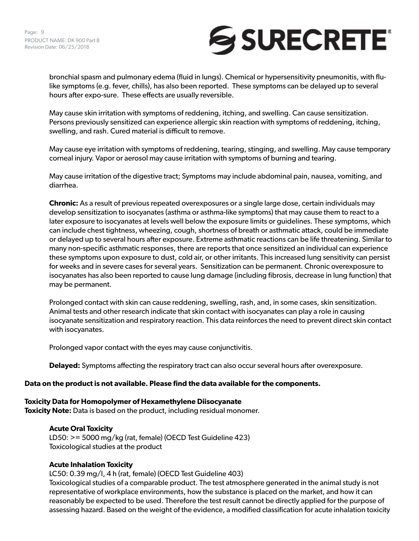

bronchial spasm and pulmonary edema (fluid in lungs). Chemical or hypersensitivity pneumonitis, with flulike symptoms (e.g. fever, chills), has also been reported. These symptoms can be delayed up to several hours after expo-sure. These effects are usually reversible.

May cause skin irritation with symptoms of reddening, itching, and swelling. Can cause sensitization. Persons previously sensitized can experience allergic skin reaction with symptoms of reddening, itching, swelling, and rash. Cured material is difficult to remove.

May cause eye irritation with symptoms of reddening, tearing, stinging, and swelling. May cause temporary corneal injury. Vapor or aerosol may cause irritation with symptoms of burning and tearing.

May cause irritation of the digestive tract; Symptoms may include abdominal pain, nausea, vomiting, and diarrhea.

**Chronic:** As a result of previous repeated overexposures or a single large dose, certain individuals may develop sensitization to isocyanates (asthma or asthma-like symptoms) that may cause them to react to a later exposure to isocyanates at levels well below the exposure limits or guidelines. These symptoms, which can include chest tightness, wheezing, cough, shortness of breath or asthmatic attack, could be immediate or delayed up to several hours after exposure. Extreme asthmatic reactions can be life threatening. Similar to many non-specific asthmatic responses, there are reports that once sensitized an individual can experience these symptoms upon exposure to dust, cold air, or other irritants. This increased lung sensitivity can persist for weeks and in severe cases for several years. Sensitization can be permanent. Chronic overexposure to isocyanates has also been reported to cause lung damage (including fibrosis, decrease in lung function) that may be permanent.

Prolonged contact with skin can cause reddening, swelling, rash, and, in some cases, skin sensitization. Animal tests and other research indicate that skin contact with isocyanates can play a role in causing isocyanate sensitization and respiratory reaction. This data reinforces the need to prevent direct skin contact with isocyanates.

Prolonged vapor contact with the eyes may cause conjunctivitis.

**Delayed:** Symptoms affecting the respiratory tract can also occur several hours after overexposure.

#### **Data on the product is not available. Please find the data available for the components.**

#### **Toxicity Data for Homopolymer of Hexamethylene Diisocyanate**

**Toxicity Note:** Data is based on the product, including residual monomer.

#### **Acute Oral Toxicity**

LD50: >= 5000 mg/kg (rat, female) (OECD Test Guideline 423) Toxicological studies at the product

#### **Acute Inhalation Toxicity**

LC50: 0.39 mg/l, 4 h (rat, female) (OECD Test Guideline 403)

Toxicological studies of a comparable product. The test atmosphere generated in the animal study is not representative of workplace environments, how the substance is placed on the market, and how it can reasonably be expected to be used. Therefore the test result cannot be directly applied for the purpose of assessing hazard. Based on the weight of the evidence, a modified classification for acute inhalation toxicity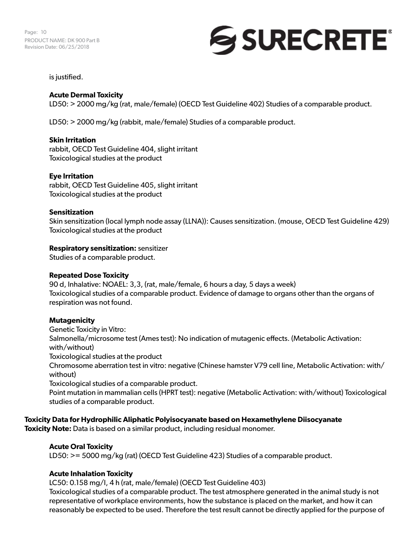

is justified.

# **Acute Dermal Toxicity**

LD50: > 2000 mg/kg (rat, male/female) (OECD Test Guideline 402) Studies of a comparable product.

LD50: > 2000 mg/kg (rabbit, male/female) Studies of a comparable product.

# **Skin Irritation**

rabbit, OECD Test Guideline 404, slight irritant Toxicological studies at the product

# **Eye Irritation**

rabbit, OECD Test Guideline 405, slight irritant Toxicological studies at the product

# **Sensitization**

Skin sensitization (local lymph node assay (LLNA)): Causes sensitization. (mouse, OECD Test Guideline 429) Toxicological studies at the product

# **Respiratory sensitization:** sensitizer

Studies of a comparable product.

# **Repeated Dose Toxicity**

90 d, Inhalative: NOAEL: 3,3, (rat, male/female, 6 hours a day, 5 days a week) Toxicological studies of a comparable product. Evidence of damage to organs other than the organs of respiration was not found.

# **Mutagenicity**

Genetic Toxicity in Vitro:

Salmonella/microsome test (Ames test): No indication of mutagenic effects. (Metabolic Activation: with/without)

Toxicological studies at the product

Chromosome aberration test in vitro: negative (Chinese hamster V79 cell line, Metabolic Activation: with/ without)

Toxicological studies of a comparable product.

Point mutation in mammalian cells (HPRT test): negative (Metabolic Activation: with/without) Toxicological studies of a comparable product.

# **Toxicity Data for Hydrophilic Aliphatic Polyisocyanate based on Hexamethylene Diisocyanate**

**Toxicity Note:** Data is based on a similar product, including residual monomer.

# **Acute Oral Toxicity**

LD50: >= 5000 mg/kg (rat) (OECD Test Guideline 423) Studies of a comparable product.

# **Acute Inhalation Toxicity**

LC50: 0.158 mg/l, 4 h (rat, male/female) (OECD Test Guideline 403)

Toxicological studies of a comparable product. The test atmosphere generated in the animal study is not representative of workplace environments, how the substance is placed on the market, and how it can reasonably be expected to be used. Therefore the test result cannot be directly applied for the purpose of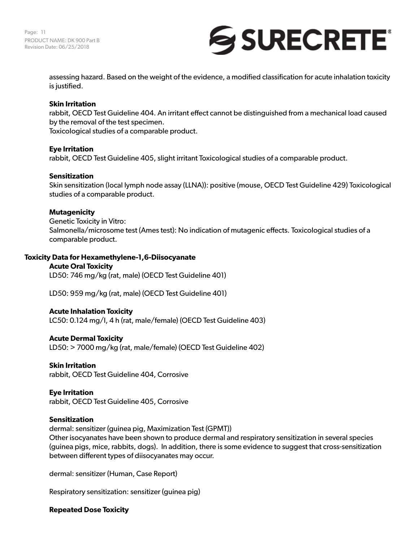

assessing hazard. Based on the weight of the evidence, a modified classification for acute inhalation toxicity is justified.

## **Skin Irritation**

rabbit, OECD Test Guideline 404. An irritant effect cannot be distinguished from a mechanical load caused by the removal of the test specimen.

Toxicological studies of a comparable product.

#### **Eye Irritation**

rabbit, OECD Test Guideline 405, slight irritant Toxicological studies of a comparable product.

#### **Sensitization**

Skin sensitization (local lymph node assay (LLNA)): positive (mouse, OECD Test Guideline 429) Toxicological studies of a comparable product.

#### **Mutagenicity**

Genetic Toxicity in Vitro: Salmonella/microsome test (Ames test): No indication of mutagenic effects. Toxicological studies of a comparable product.

#### **Toxicity Data for Hexamethylene-1,6-Diisocyanate**

#### **Acute Oral Toxicity**

LD50: 746 mg/kg (rat, male) (OECD Test Guideline 401)

LD50: 959 mg/kg (rat, male) (OECD Test Guideline 401)

#### **Acute Inhalation Toxicity**

LC50: 0.124 mg/l, 4 h (rat, male/female) (OECD Test Guideline 403)

# **Acute Dermal Toxicity**

LD50: > 7000 mg/kg (rat, male/female) (OECD Test Guideline 402)

#### **Skin Irritation**

rabbit, OECD Test Guideline 404, Corrosive

#### **Eye Irritation**  rabbit, OECD Test Guideline 405, Corrosive

#### **Sensitization**

dermal: sensitizer (guinea pig, Maximization Test (GPMT)) Other isocyanates have been shown to produce dermal and respiratory sensitization in several species (guinea pigs, mice, rabbits, dogs). In addition, there is some evidence to suggest that cross-sensitization between different types of diisocyanates may occur.

dermal: sensitizer (Human, Case Report)

Respiratory sensitization: sensitizer (guinea pig)

#### **Repeated Dose Toxicity**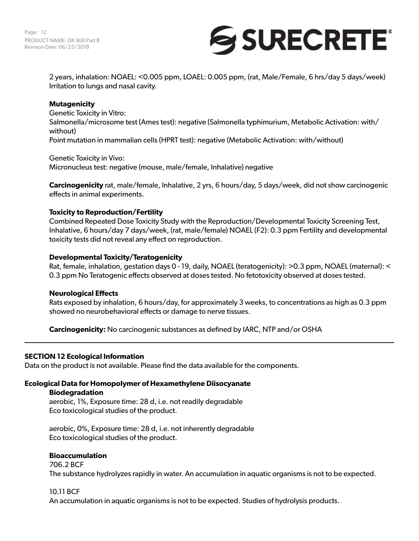

2 years, inhalation: NOAEL: <0.005 ppm, LOAEL: 0.005 ppm, (rat, Male/Female, 6 hrs/day 5 days/week) Irritation to lungs and nasal cavity.

# **Mutagenicity**

Genetic Toxicity in Vitro: Salmonella/microsome test (Ames test): negative (Salmonella typhimurium, Metabolic Activation: with/ without) Point mutation in mammalian cells (HPRT test): negative (Metabolic Activation: with/without)

Genetic Toxicity in Vivo: Micronucleus test: negative (mouse, male/female, Inhalative) negative

**Carcinogenicity** rat, male/female, Inhalative, 2 yrs, 6 hours/day, 5 days/week, did not show carcinogenic effects in animal experiments.

# **Toxicity to Reproduction/Fertility**

Combined Repeated Dose Toxicity Study with the Reproduction/Developmental Toxicity Screening Test, Inhalative, 6 hours/day 7 days/week, (rat, male/female) NOAEL (F2): 0.3 ppm Fertility and developmental toxicity tests did not reveal any effect on reproduction.

# **Developmental Toxicity/Teratogenicity**

Rat, female, inhalation, gestation days 0 - 19, daily, NOAEL (teratogenicity): >0.3 ppm, NOAEL (maternal): < 0.3 ppm No Teratogenic effects observed at doses tested. No fetotoxicity observed at doses tested.

# **Neurological Effects**

Rats exposed by inhalation, 6 hours/day, for approximately 3 weeks, to concentrations as high as 0.3 ppm showed no neurobehavioral effects or damage to nerve tissues.

**Carcinogenicity:** No carcinogenic substances as defined by IARC, NTP and/or OSHA

# **SECTION 12 Ecological Information**

Data on the product is not available. Please find the data available for the components.

# **Ecological Data for Homopolymer of Hexamethylene Diisocyanate**

**Biodegradation** 

aerobic, 1%, Exposure time: 28 d, i.e. not readily degradable Eco toxicological studies of the product.

aerobic, 0%, Exposure time: 28 d, i.e. not inherently degradable Eco toxicological studies of the product.

# **Bioaccumulation**

706.2 BCF

The substance hydrolyzes rapidly in water. An accumulation in aquatic organisms is not to be expected.

# 10.11 BCF

An accumulation in aquatic organisms is not to be expected. Studies of hydrolysis products.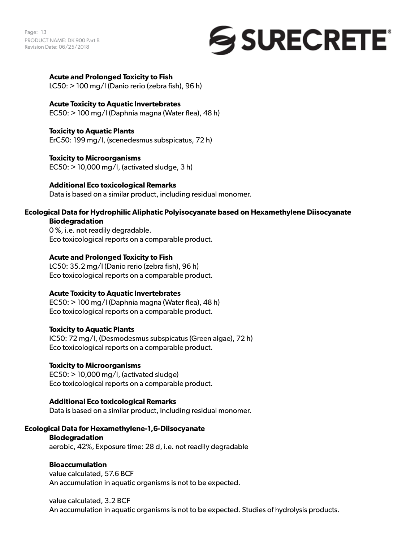Page: 13 PRODUCT NAME: DK 900 Part B Revision Date: 06/25/2018



## **Acute and Prolonged Toxicity to Fish**

LC50: > 100 mg/l (Danio rerio (zebra fish), 96 h)

#### **Acute Toxicity to Aquatic Invertebrates**

EC50: > 100 mg/l (Daphnia magna (Water flea), 48 h)

# **Toxicity to Aquatic Plants**

ErC50: 199 mg/l, (scenedesmus subspicatus, 72 h)

# **Toxicity to Microorganisms**

 $EC50:$  > 10,000 mg/l, (activated sludge, 3 h)

#### **Additional Eco toxicological Remarks**

Data is based on a similar product, including residual monomer.

#### **Ecological Data for Hydrophilic Aliphatic Polyisocyanate based on Hexamethylene Diisocyanate Biodegradation**

0 %, i.e. not readily degradable. Eco toxicological reports on a comparable product.

#### **Acute and Prolonged Toxicity to Fish**

LC50: 35.2 mg/l (Danio rerio (zebra fish), 96 h) Eco toxicological reports on a comparable product.

#### **Acute Toxicity to Aquatic Invertebrates**

EC50: > 100 mg/l (Daphnia magna (Water flea), 48 h) Eco toxicological reports on a comparable product.

#### **Toxicity to Aquatic Plants**

IC50: 72 mg/l, (Desmodesmus subspicatus (Green algae), 72 h) Eco toxicological reports on a comparable product.

#### **Toxicity to Microorganisms**

EC50: > 10,000 mg/l, (activated sludge) Eco toxicological reports on a comparable product.

#### **Additional Eco toxicological Remarks**

Data is based on a similar product, including residual monomer.

# **Ecological Data for Hexamethylene-1,6-Diisocyanate**

#### **Biodegradation**

aerobic, 42%, Exposure time: 28 d, i.e. not readily degradable

# **Bioaccumulation**

value calculated, 57.6 BCF An accumulation in aquatic organisms is not to be expected.

#### value calculated, 3.2 BCF

An accumulation in aquatic organisms is not to be expected. Studies of hydrolysis products.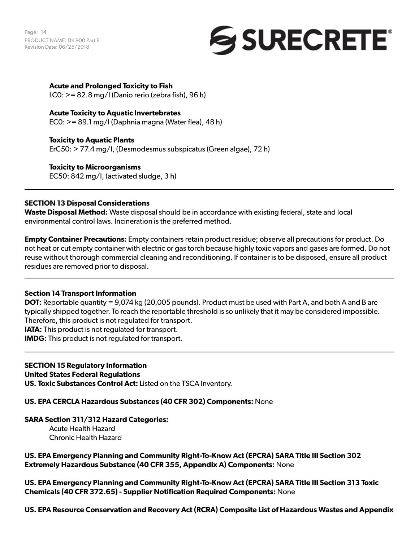Page: 14 PRODUCT NAME: DK 900 Part B Revision Date: 06/25/2018



**Acute and Prolonged Toxicity to Fish** 

LC0: >= 82.8 mg/l (Danio rerio (zebra fish), 96 h)

**Acute Toxicity to Aquatic Invertebrates**  EC0: >= 89.1 mg/l (Daphnia magna (Water flea), 48 h)

**Toxicity to Aquatic Plants**  ErC50: > 77.4 mg/l, (Desmodesmus subspicatus (Green algae), 72 h)

**Toxicity to Microorganisms**  EC50: 842 mg/l, (activated sludge, 3 h)

# **SECTION 13 Disposal Considerations**

**Waste Disposal Method:** Waste disposal should be in accordance with existing federal, state and local environmental control laws. Incineration is the preferred method.

**Empty Container Precautions:** Empty containers retain product residue; observe all precautions for product. Do not heat or cut empty container with electric or gas torch because highly toxic vapors and gases are formed. Do not reuse without thorough commercial cleaning and reconditioning. If container is to be disposed, ensure all product residues are removed prior to disposal.

# **Section 14 Transport Information**

**DOT:** Reportable quantity = 9,074 kg (20,005 pounds). Product must be used with Part A, and both A and B are typically shipped together. To reach the reportable threshold is so unlikely that it may be considered impossible. Therefore, this product is not regulated for transport. **IATA:** This product is not regulated for transport.

**IMDG:** This product is not regulated for transport.

# **SECTION 15 Regulatory Information**

# **United States Federal Regulations**

**US. Toxic Substances Control Act:** Listed on the TSCA Inventory.

# **US. EPA CERCLA Hazardous Substances (40 CFR 302) Components:** None

# **SARA Section 311/312 Hazard Categories:**

Acute Health Hazard Chronic Health Hazard

# **US. EPA Emergency Planning and Community Right-To-Know Act (EPCRA) SARA Title III Section 302 Extremely Hazardous Substance (40 CFR 355, Appendix A) Components:** None

**US. EPA Emergency Planning and Community Right-To-Know Act (EPCRA) SARA Title III Section 313 Toxic Chemicals (40 CFR 372.65) - Supplier Notification Required Components:** None

**US. EPA Resource Conservation and Recovery Act (RCRA) Composite List of Hazardous Wastes and Appendix**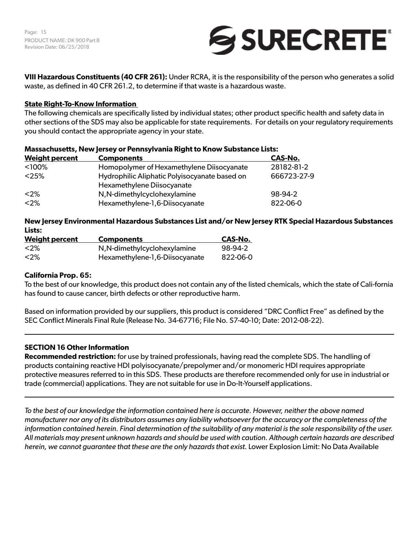

**VIII Hazardous Constituents (40 CFR 261):** Under RCRA, it is the responsibility of the person who generates a solid waste, as defined in 40 CFR 261.2, to determine if that waste is a hazardous waste.

# **State Right-To-Know Information**

The following chemicals are specifically listed by individual states; other product specific health and safety data in other sections of the SDS may also be applicable for state requirements. For details on your regulatory requirements you should contact the appropriate agency in your state.

| CAS-No.     |  |  |  |
|-------------|--|--|--|
| 28182-81-2  |  |  |  |
| 666723-27-9 |  |  |  |
|             |  |  |  |
| 98-94-2     |  |  |  |
| 822-06-0    |  |  |  |
|             |  |  |  |

# **Massachusetts, New Jersey or Pennsylvania Right to Know Substance Lists:**

**New Jersey Environmental Hazardous Substances List and/or New Jersey RTK Special Hazardous Substances Lists:** 

| <b>Weight percent</b> | <b>Components</b>              | CAS-No.  |
|-----------------------|--------------------------------|----------|
| $<2\%$                | N, N-dimethylcyclohexylamine   | 98-94-2  |
| $<2\%$                | Hexamethylene-1,6-Diisocyanate | 822-06-0 |

# **California Prop. 65:**

To the best of our knowledge, this product does not contain any of the listed chemicals, which the state of Cali-fornia has found to cause cancer, birth defects or other reproductive harm.

Based on information provided by our suppliers, this product is considered "DRC Conflict Free" as defined by the SEC Conflict Minerals Final Rule (Release No. 34-67716; File No. S7-40-10; Date: 2012-08-22).

# **SECTION 16 Other Information**

**Recommended restriction:** for use by trained professionals, having read the complete SDS. The handling of products containing reactive HDI polyisocyanate/prepolymer and/or monomeric HDI requires appropriate protective measures referred to in this SDS. These products are therefore recommended only for use in industrial or trade (commercial) applications. They are not suitable for use in Do-It-Yourself applications.

*To the best of our knowledge the information contained here is accurate. However, neither the above named manufacturer nor any of its distributors assumes any liability whatsoever for the accuracy or the completeness of the information contained herein. Final determination of the suitability of any material is the sole responsibility of the user. All materials may present unknown hazards and should be used with caution. Although certain hazards are described herein, we cannot guarantee that these are the only hazards that exist. Lower Explosion Limit: No Data Available*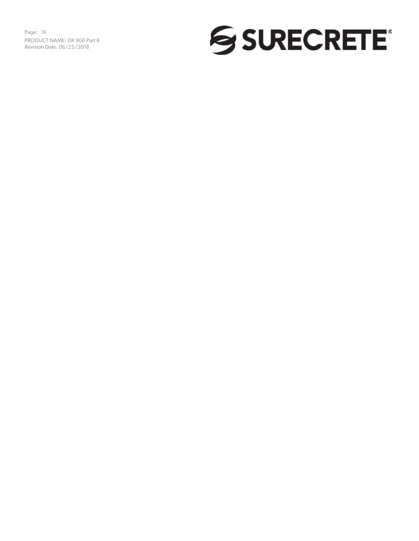Page: 16PRODUCT NAME: DK 900 Part B Revision Date: 06/25/2018

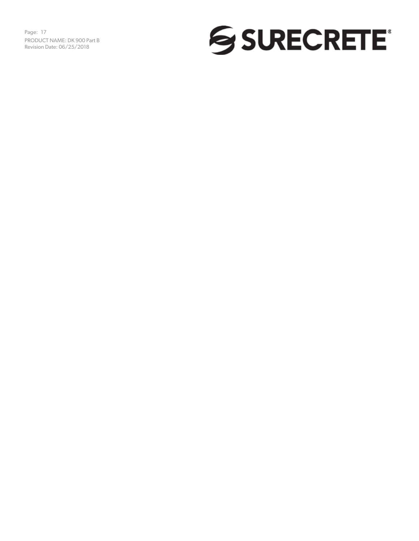Page: 17PRODUCT NAME: DK 900 Part B Revision Date: 06/25/2018

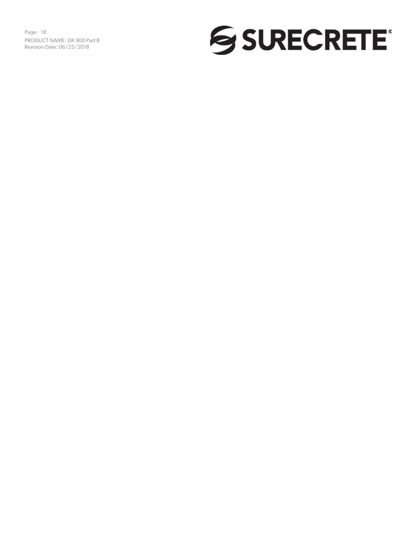Page: 18PRODUCT NAME: DK 900 Part B Revision Date: 06/25/2018